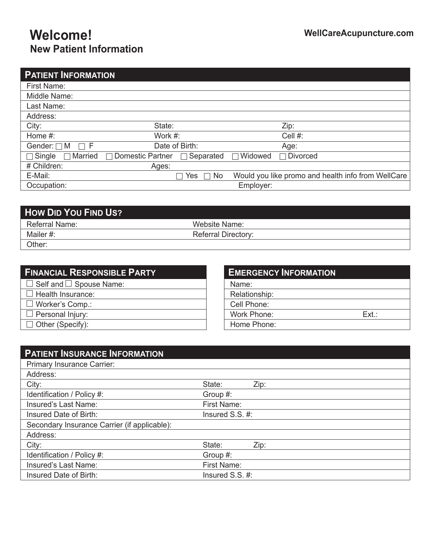# **Welcome! WellCareAcupuncture.com New Patient Information**

| <b>PATIENT INFORMATION</b>      |                                      |                                                    |
|---------------------------------|--------------------------------------|----------------------------------------------------|
| First Name:                     |                                      |                                                    |
| Middle Name:                    |                                      |                                                    |
| Last Name:                      |                                      |                                                    |
| Address:                        |                                      |                                                    |
| City:                           | State:                               | Zip:                                               |
| Home #:                         | Work #:                              | Cell #:                                            |
| Gender: $\Box$ M<br>$\Box$ F    | Date of Birth:                       | Age:                                               |
| $\neg$ Married<br>$\Box$ Single | $\Box$ Domestic Partner<br>Separated | $\Box$ Widowed<br><b>Divorced</b>                  |
| # Children:                     | Ages:                                |                                                    |
| E-Mail:                         | No<br>Yes<br>П<br>П                  | Would you like promo and health info from WellCare |
| Occupation:                     |                                      | Employer:                                          |

| <b>How DID YOU FIND US?</b> |                            |  |
|-----------------------------|----------------------------|--|
| Referral Name:              | Website Name:              |  |
| Mailer #:                   | <b>Referral Directory:</b> |  |
| Other:                      |                            |  |

| $\Box$ Self and $\Box$ Spouse Name: |
|-------------------------------------|
|                                     |
| $\Box$ Health Insurance:            |
| $\Box$ Worker's Comp.:              |
| $\Box$ Personal Injury:             |
| $\Box$ Other (Specify):             |

## **EMERGENCY INFORMATION** Name: Relationship: Cell Phone: Work Phone: Ext.: Home Phone:

| <b>PATIENT INSURANCE INFORMATION</b>         |                     |      |
|----------------------------------------------|---------------------|------|
| Primary Insurance Carrier:                   |                     |      |
| Address:                                     |                     |      |
| City:                                        | State:              | Zip: |
| Identification / Policy #:                   | Group #:            |      |
| Insured's Last Name:                         | First Name:         |      |
| Insured Date of Birth:                       | Insured S.S. #:     |      |
| Secondary Insurance Carrier (if applicable): |                     |      |
| Address:                                     |                     |      |
| City:                                        | State:              | Zip: |
| Identification / Policy #:                   | Group #:            |      |
| Insured's Last Name:                         | First Name:         |      |
| Insured Date of Birth:                       | Insured $S.S. \#$ : |      |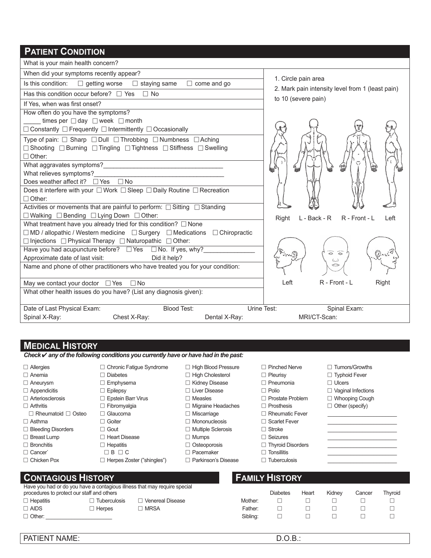### **PATIENT CONDITION**

What is your main health concern?

When did your symptoms recently appear?

| Is this condition: $□$ getting worse $□$ staying same $□$ come and go |  |  |
|-----------------------------------------------------------------------|--|--|
| $\mid$ Has this condition occur before? $\Box$ Yes $\Box$ No          |  |  |

If Yes, when was first onset?

How often do you have the symptoms?

times per  $\Box$  day  $\Box$  week  $\Box$  month

 $\Box$  Constantly  $\Box$  Frequently  $\Box$  Intermittently  $\Box$  Occasionally

Type of pain:  $\Box$  Sharp  $\Box$  Dull  $\Box$  Throbbing  $\Box$  Numbness  $\Box$  Aching

 $\Box$  Shooting  $\Box$  Burning  $\Box$  Tingling  $\Box$  Tightness  $\Box$  Stiffness  $\Box$  Swelling  $\Box$  Other:

What aggravates symptoms? What relieves symptoms?

Does weather affect it?  $\Box$  Yes  $\Box$  No

Does it interfere with your  $\Box$  Work  $\Box$  Sleep  $\Box$  Daily Routine  $\Box$  Recreation

 $\Box$  Other:

Activities or movements that are painful to perform:  $\Box$  Sitting  $\Box$  Standing

May we contact your doctor  $\Box$  Yes  $\Box$  No

 $\Box$  Walking  $\Box$  Bending  $\Box$  Lying Down  $\Box$  Other:

What treatment have you already tried for this condition?  $\Box$  None  $\Box$  MD / allopathic / Western medicine  $\Box$  Surgery  $\Box$  Medications  $\Box$  Chiropractic

 $\Box$  Injections  $\Box$  Physical Therapy  $\Box$  Naturopathic  $\Box$  Other:

Have you had acupuncture before?  $\Box$  Yes  $\Box$  No. If yes, why? Approximate date of last visit: Did it help?

What other health issues do you have? (List any diagnosis given):

Name and phone of other practitioners who have treated you for your condition:

1. Circle pain area Mark pain intensity level from 1 (least pain)

to 10 (severe pain)

Right L-Back - R R - Front - L Left  $\tilde{\circ}$ ⇔ Left R - Front - L Right

Spinal X-Ray: Chest X-Ray: Chest X-Ray: Dental X-Ray: MRI/CT-Scan:

**MEDICAL HISTORY**

*Check* ✔ *any of the following conditions you currently have or have had in the past:*

- 
- 
- 
- 
- 
- $\Box$  Rheumatoid  $\Box$  Osteo  $\Box$  Glaucoma  $\Box$  Miscarriage  $\Box$  Rheumatic Fever
- 
- $\Box$  Bleeding Disorders  $\Box$  Gout  $\Box$  Multiple Sclerosis  $\Box$  Stroke
- 
- 
- 
- 

**CONTAGIOUS HISTORY FAMILY HISTORY** 

Have you had or do you have a contagious illness that may require special procedures to protect our staff and others

- $\Box$  Hepatitis  $\Box$  Tuberculosis  $\Box$  Venereal Disease
- 
- 

- Allergies Chronic Fatigue Syndrome High Blood Pressure Pinched Nerve Tumors/Growths
- $\Box$  Anemia  $\Box$  Diabetes  $\Box$  High Cholesterol  $\Box$  Pleurisy  $\Box$  Typhoid Fever
- $\Box$  Aneurysm  $\Box$  Emphysema  $\Box$  Kidney Disease  $\Box$  Pneumonia  $\Box$  Ulcers
	-
	-
- $\Box$  Arthritis  $\Box$  Fibromyalgia  $\Box$  Migraine Headaches  $\Box$  Prosthesis  $\Box$  Other (specify)
	-
- $\Box$  Asthma  $\Box$  Goiter  $\Box$  Mononucleosis  $\Box$  Scarlet Fever
	-
	-
	-
- □ Chicken Pox □ Herpes Zoster ("shingles") □ Parkinson's Disease □ Tuberculosis
- $\Box$  Appendicitis  $\Box$  Epilepsy  $\Box$  Evaluations  $\Box$  Liver Disease  $\Box$  Polio  $\Box$  Vaginal Infections
- Arteriosclerosis Epstein Barr Virus Measles Prostate Problem Whooping Cough
	-
	-
	-
	-
- $\Box$  Bronchitis  $\Box$  Hepatitis  $\Box$  Osteoporosis  $\Box$  Thyroid Disorders
	-
	-

|                                            |                     | Have you had or do you have a contagious limess that may require special |          |        |         |  |  |  |
|--------------------------------------------|---------------------|--------------------------------------------------------------------------|----------|--------|---------|--|--|--|
| procedures to protect our staff and others | <b>Diabetes</b>     | Heart                                                                    | Kidnev   | Cancer | Thvroid |  |  |  |
| □ Hepatitis                                | <b>Tuberculosis</b> | <b>Venereal Disease</b>                                                  | Mother:  |        |         |  |  |  |
| I AIDS                                     | <b>Herpes</b>       | <b>MRSA</b>                                                              | Father:  |        |         |  |  |  |
| □ Other:                                   |                     |                                                                          | Siblina: |        |         |  |  |  |
|                                            |                     |                                                                          |          |        |         |  |  |  |

PATIENT NAME:  $D.O.B.:$ 

- 
- 
- 
- -
	-

- 
- 
- 
- $\Box$  Breast Lump  $\hphantom{a} \Box$  Heart Disease  $\hphantom{a} \Box$  Mumps  $\hphantom{a} \Box$  Seizures  $\hphantom{a}$   $\hphantom{a}$ Cancer` B C Pacemaker Tonsillitis \_\_\_\_\_\_\_\_\_\_\_\_\_\_\_\_\_\_\_\_\_\_\_\_

Date of Last Physical Exam: Blood Test: Urine Test: Spinal Exam: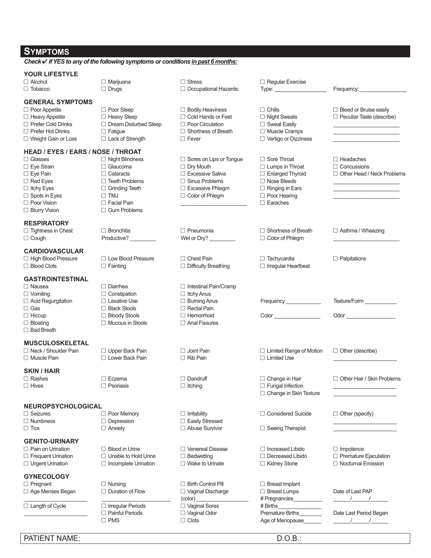| <b>SYMPTOMS</b>                                  |                                                                                        |                                                       |                                                |                                     |
|--------------------------------------------------|----------------------------------------------------------------------------------------|-------------------------------------------------------|------------------------------------------------|-------------------------------------|
|                                                  | Check <b>√</b> if YES to any of the following symptoms or conditions in past 6 months: |                                                       |                                                |                                     |
| <b>YOUR LIFESTYLE</b><br>$\Box$ Alcohol          | $\Box$ Marijuana                                                                       | $\Box$ Stress                                         | $\Box$ Regular Exercise                        |                                     |
| $\Box$ Tobacco                                   | $\Box$ Drugs                                                                           | $\Box$ Occupational Hazards:                          | Type: $\frac{1}{2}$                            | Frequency: Frequency:               |
| <b>GENERAL SYMPTOMS</b>                          |                                                                                        |                                                       |                                                |                                     |
| $\Box$ Poor Appetite                             | $\Box$ Poor Sleep                                                                      | $\Box$ Bodily Heaviness                               | $\Box$ Chills                                  | $\Box$ Bleed or Bruise easily       |
| $\Box$ Heavy Appetite                            | □ Heavy Sleep                                                                          | $\Box$ Cold Hands or Feet                             | □ Night Sweats                                 | $\Box$ Peculiar Taste (describe)    |
| □ Prefer Cold Drinks<br>$\Box$ Prefer Hot Drinks | $\Box$ Dream Disturbed Sleep<br>$\Box$ Fatique                                         | $\Box$ Poor Circulation<br>$\Box$ Shortness of Breath | $\Box$ Sweat Easily<br>$\Box$ Muscle Cramps    |                                     |
| $\Box$ Weight Gain or Loss                       | $\Box$ Lack of Strength                                                                | $\Box$ Fever                                          | $\Box$ Vertigo or Dizziness                    |                                     |
| <b>HEAD / EYES / EARS / NOSE / THROAT</b>        |                                                                                        |                                                       |                                                |                                     |
| $\Box$ Glasses                                   | $\Box$ Night Blindness                                                                 | $\Box$ Sores on Lips or Tongue                        | $\Box$ Sore Throat                             | $\Box$ Headaches                    |
| $\Box$ Eye Strain                                | $\Box$ Glaucoma                                                                        | $\Box$ Dry Mouth                                      | $\Box$ Lumps in Throat                         | $\Box$ Concussions                  |
| $\Box$ Eye Pain                                  | $\Box$ Cataracts                                                                       | □ Excessive Saliva                                    | $\Box$ Enlarged Thyroid                        | $\Box$ Other Head / Neck Problems   |
| $\Box$ Red Eyes                                  | $\Box$ Teeth Problems                                                                  | $\Box$ Sinus Problems                                 | $\Box$ Nose Bleeds                             |                                     |
| $\Box$ Itchy Eyes<br>$\Box$ Spots in Eyes        | $\Box$ Grinding Teeth<br>$\Box$ TMJ                                                    | □ Excessive Phlegm<br>$\Box$ Color of Phlegm          | $\Box$ Ringing in Ears<br>$\Box$ Poor Hearing  |                                     |
| $\Box$ Poor Vision                               | $\Box$ Facial Pain                                                                     |                                                       | $\Box$ Earaches                                |                                     |
| $\Box$ Blurry Vision                             | $\Box$ Gum Problems                                                                    |                                                       |                                                |                                     |
| <b>RESPIRATORY</b>                               |                                                                                        |                                                       |                                                |                                     |
| $\Box$ Tightness in Chest                        | $\Box$ Bronchitis                                                                      | $\Box$ Pneumonia                                      | $\Box$ Shortness of Breath                     | $\Box$ Asthma / Wheezing            |
| $\Box$ Cough                                     | Productive? _________                                                                  | Wet or Dry?                                           | □ Color of Phlegm                              |                                     |
| <b>CARDIOVASCULAR</b>                            |                                                                                        |                                                       |                                                |                                     |
| □ High Blood Pressure                            | $\Box$ Low Blood Pressure                                                              | $\Box$ Chest Pain                                     | $\Box$ Tachycardia                             | $\Box$ Palpitations                 |
| $\Box$ Blood Clots                               | $\Box$ Fainting                                                                        | $\Box$ Difficulty Breathing                           | $\Box$ Irregular Heartbeat                     |                                     |
| <b>GASTROINTESTINAL</b>                          |                                                                                        |                                                       |                                                |                                     |
| $\Box$ Nausea                                    | $\Box$ Diarrhea                                                                        | $\Box$ Intestinal Pain/Cramp                          |                                                |                                     |
| $\Box$ Vomiting<br>□ Acid Regurgitation          | $\Box$ Constipation<br>$\Box$ Laxative Use                                             | $\Box$ Itchy Anus<br>$\Box$ Burning Anus              | Frequency ______________                       | Texture/Form                        |
| $\Box$ Gas                                       | $\Box$ Black Stools                                                                    | $\Box$ Rectal Pain                                    |                                                |                                     |
| $\Box$ Hiccup                                    | □ Bloody Stools                                                                        | $\Box$ Hemorrhoid                                     | Color                                          | Odor <b>Container and Container</b> |
| $\Box$ Bloating                                  | $\Box$ Mucous in Stools                                                                | $\Box$ Anal Fissures                                  |                                                |                                     |
| $\Box$ Bad Breath                                |                                                                                        |                                                       |                                                |                                     |
| <b>MUSCULOSKELETAL</b>                           |                                                                                        |                                                       |                                                |                                     |
| $\Box$ Neck / Shoulder Pain                      | $\Box$ Upper Back Pain                                                                 | $\Box$ Joint Pain                                     | $\Box$ Limited Range of Motion                 | $\Box$ Other (describe)             |
| $\Box$ Muscle Pain                               | $\Box$ Lower Back Pain                                                                 | $\Box$ Rib Pain                                       | $\Box$ Limited Use                             |                                     |
| <b>SKIN / HAIR</b>                               |                                                                                        |                                                       |                                                |                                     |
| $\Box$ Rashes                                    | $\Box$ Eczema                                                                          | $\Box$ Dandruff                                       | $\Box$ Change in Hair                          | $\Box$ Other Hair / Skin Problems   |
| $\Box$ Hives                                     | $\Box$ Psoriasis                                                                       | $\Box$ Itching                                        | □ Fungal Infection<br>□ Change in Skin Texture |                                     |
| <b>NEUROPSYCHOLOGICAL</b>                        |                                                                                        |                                                       |                                                |                                     |
| $\Box$ Seizures                                  | $\Box$ Poor Memory                                                                     | $\Box$ Irritability                                   | $\Box$ Considered Suicide                      | $\Box$ Other (specify)              |
| $\Box$ Numbness                                  | $\Box$ Depression                                                                      | □ Easily Stressed                                     |                                                |                                     |
| $\Box$ Tics                                      | $\Box$ Anxiety                                                                         | $\Box$ Abuse Survivor                                 | $\Box$ Seeing Therapist                        |                                     |
| <b>GENITO-URINARY</b>                            |                                                                                        |                                                       |                                                |                                     |
| $\Box$ Pain on Urination                         | $\Box$ Blood in Urine                                                                  | □ Venereal Disease                                    | $\Box$ Increased Libido                        | $\Box$ Impotence                    |
| $\Box$ Frequent Urination                        | $\Box$ Unable to Hold Urine                                                            | $\Box$ Bedwetting                                     | $\Box$ Decreased Libido                        | Premature Ejaculation               |
| $\Box$ Urgent Urination                          | $\Box$ Incomplete Urination                                                            | $\Box$ Wake to Urinate                                | □ Kidney Stone                                 | $\Box$ Nocturnal Emission           |
| <b>GYNECOLOGY</b>                                |                                                                                        |                                                       |                                                |                                     |
| $\Box$ Pregnant                                  | $\Box$ Nursing                                                                         | $\Box$ Birth Control Pill                             | $\Box$ Breast Implant                          |                                     |
| $\Box$ Age Menses Began                          | $\Box$ Duration of Flow                                                                | $\Box$ Vaginal Discharge<br>(color)                   | $\Box$ Breast Lumps<br># Pregnancies_          | Date of Last PAP                    |
| □ Length of Cycle                                | $\Box$ Irregular Periods                                                               | □ Vaginal Sores                                       | # Births                                       |                                     |
|                                                  | $\Box$ Painful Periods                                                                 | □ Vaginal Odor                                        | <b>Premature Births</b>                        | Date Last Period Began              |
|                                                  | $\Box$ PMS                                                                             | $\Box$ Clots                                          | Age of Menopause                               |                                     |

PATIENT NAME: D.O.B.: